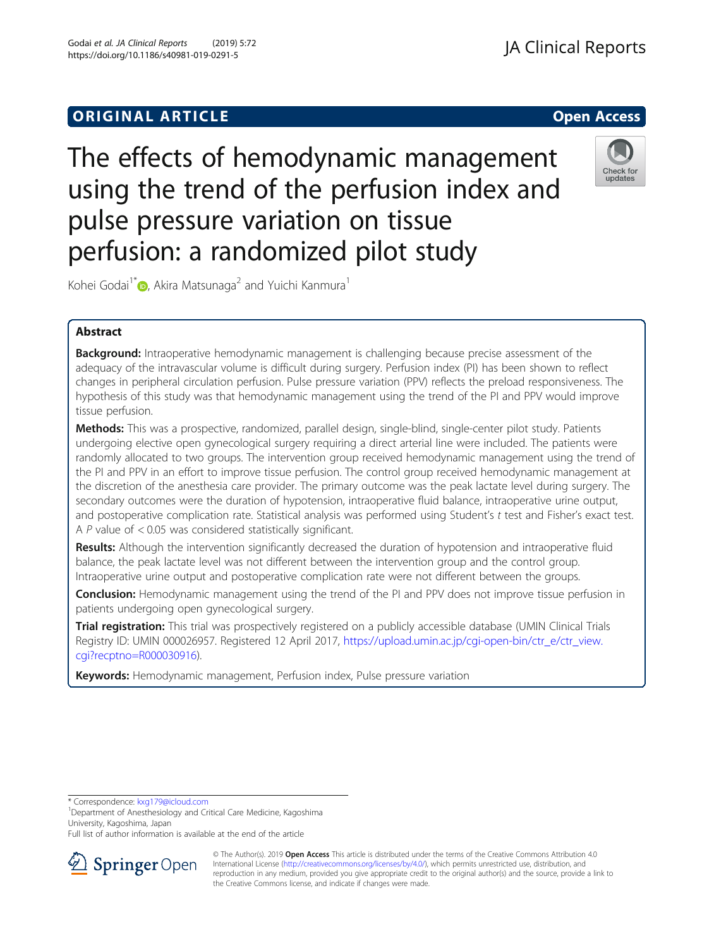# **ORIGINAL ARTICLE CONSERVANCE IN A LOCAL CONSERVANCE IN A LOCAL CONSERVANCE IN A LOCAL CONSERVANCE IN A LOCAL CONS**

The effects of hemodynamic management using the trend of the perfusion index and pulse pressure variation on tissue perfusion: a randomized pilot study

Kohei Godai<sup>1\*</sup> (D, Akira Matsunaga<sup>2</sup> and Yuichi Kanmura<sup>1</sup>

## Abstract

**Background:** Intraoperative hemodynamic management is challenging because precise assessment of the adequacy of the intravascular volume is difficult during surgery. Perfusion index (PI) has been shown to reflect changes in peripheral circulation perfusion. Pulse pressure variation (PPV) reflects the preload responsiveness. The hypothesis of this study was that hemodynamic management using the trend of the PI and PPV would improve tissue perfusion.

Methods: This was a prospective, randomized, parallel design, single-blind, single-center pilot study. Patients undergoing elective open gynecological surgery requiring a direct arterial line were included. The patients were randomly allocated to two groups. The intervention group received hemodynamic management using the trend of the PI and PPV in an effort to improve tissue perfusion. The control group received hemodynamic management at the discretion of the anesthesia care provider. The primary outcome was the peak lactate level during surgery. The secondary outcomes were the duration of hypotension, intraoperative fluid balance, intraoperative urine output, and postoperative complication rate. Statistical analysis was performed using Student's t test and Fisher's exact test. A P value of < 0.05 was considered statistically significant.

Results: Although the intervention significantly decreased the duration of hypotension and intraoperative fluid balance, the peak lactate level was not different between the intervention group and the control group. Intraoperative urine output and postoperative complication rate were not different between the groups.

**Conclusion:** Hemodynamic management using the trend of the PI and PPV does not improve tissue perfusion in patients undergoing open gynecological surgery.

Trial registration: This trial was prospectively registered on a publicly accessible database (UMIN Clinical Trials Registry ID: UMIN 000026957. Registered 12 April 2017, [https://upload.umin.ac.jp/cgi-open-bin/ctr\\_e/ctr\\_view.](https://upload.umin.ac.jp/cgi-open-bin/ctr_e/ctr_view.cgi?recptno=R000030916) [cgi?recptno=R000030916](https://upload.umin.ac.jp/cgi-open-bin/ctr_e/ctr_view.cgi?recptno=R000030916)).

Keywords: Hemodynamic management, Perfusion index, Pulse pressure variation

\* Correspondence: [kxg179@icloud.com](mailto:kxg179@icloud.com) <sup>1</sup>

<sup>1</sup>Department of Anesthesiology and Critical Care Medicine, Kagoshima University, Kagoshima, Japan







<sup>©</sup> The Author(s). 2019 Open Access This article is distributed under the terms of the Creative Commons Attribution 4.0 International License ([http://creativecommons.org/licenses/by/4.0/\)](http://creativecommons.org/licenses/by/4.0/), which permits unrestricted use, distribution, and reproduction in any medium, provided you give appropriate credit to the original author(s) and the source, provide a link to the Creative Commons license, and indicate if changes were made.





Full list of author information is available at the end of the article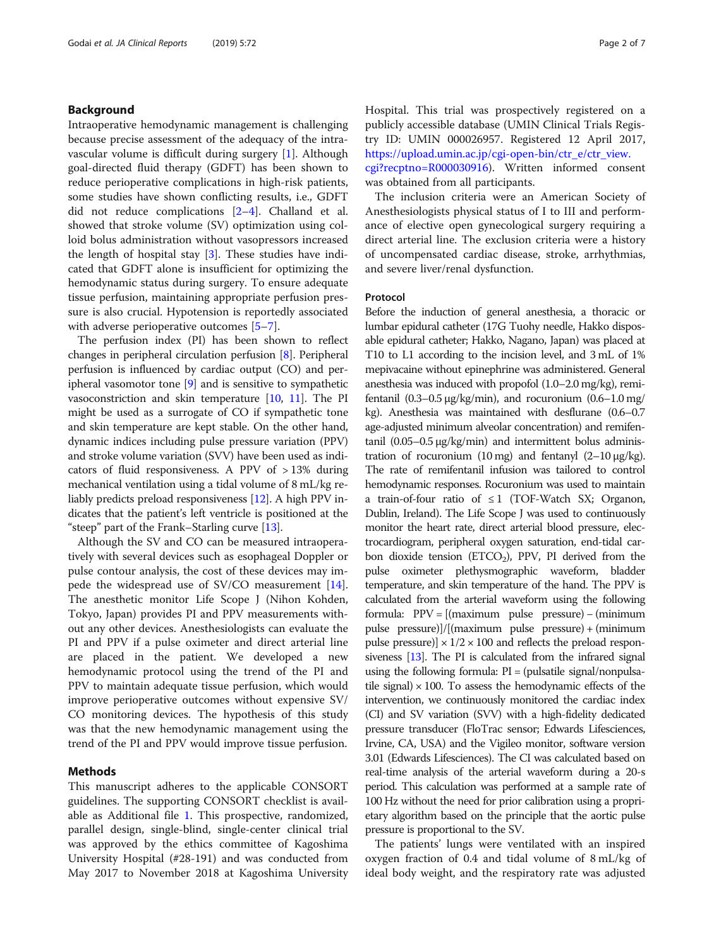## Background

Intraoperative hemodynamic management is challenging because precise assessment of the adequacy of the intravascular volume is difficult during surgery [\[1](#page-6-0)]. Although goal-directed fluid therapy (GDFT) has been shown to reduce perioperative complications in high-risk patients, some studies have shown conflicting results, i.e., GDFT did not reduce complications [[2](#page-6-0)–[4\]](#page-6-0). Challand et al. showed that stroke volume (SV) optimization using colloid bolus administration without vasopressors increased the length of hospital stay [[3\]](#page-6-0). These studies have indicated that GDFT alone is insufficient for optimizing the hemodynamic status during surgery. To ensure adequate tissue perfusion, maintaining appropriate perfusion pressure is also crucial. Hypotension is reportedly associated with adverse perioperative outcomes [[5](#page-6-0)–[7](#page-6-0)].

The perfusion index (PI) has been shown to reflect changes in peripheral circulation perfusion [\[8](#page-6-0)]. Peripheral perfusion is influenced by cardiac output (CO) and peripheral vasomotor tone [\[9](#page-6-0)] and is sensitive to sympathetic vasoconstriction and skin temperature  $[10, 11]$  $[10, 11]$  $[10, 11]$  $[10, 11]$ . The PI might be used as a surrogate of CO if sympathetic tone and skin temperature are kept stable. On the other hand, dynamic indices including pulse pressure variation (PPV) and stroke volume variation (SVV) have been used as indicators of fluid responsiveness. A PPV of > 13% during mechanical ventilation using a tidal volume of 8 mL/kg reliably predicts preload responsiveness [\[12\]](#page-6-0). A high PPV indicates that the patient's left ventricle is positioned at the "steep" part of the Frank–Starling curve [\[13\]](#page-6-0).

Although the SV and CO can be measured intraoperatively with several devices such as esophageal Doppler or pulse contour analysis, the cost of these devices may impede the widespread use of SV/CO measurement [\[14](#page-6-0)]. The anesthetic monitor Life Scope J (Nihon Kohden, Tokyo, Japan) provides PI and PPV measurements without any other devices. Anesthesiologists can evaluate the PI and PPV if a pulse oximeter and direct arterial line are placed in the patient. We developed a new hemodynamic protocol using the trend of the PI and PPV to maintain adequate tissue perfusion, which would improve perioperative outcomes without expensive SV/ CO monitoring devices. The hypothesis of this study was that the new hemodynamic management using the trend of the PI and PPV would improve tissue perfusion.

## Methods

This manuscript adheres to the applicable CONSORT guidelines. The supporting CONSORT checklist is available as Additional file [1](#page-5-0). This prospective, randomized, parallel design, single-blind, single-center clinical trial was approved by the ethics committee of Kagoshima University Hospital (#28-191) and was conducted from May 2017 to November 2018 at Kagoshima University Hospital. This trial was prospectively registered on a publicly accessible database (UMIN Clinical Trials Registry ID: UMIN 000026957. Registered 12 April 2017, [https://upload.umin.ac.jp/cgi-open-bin/ctr\\_e/ctr\\_view.](https://upload.umin.ac.jp/cgi-open-bin/ctr_e/ctr_view.cgi?recptno=R000030916)

[cgi?recptno=R000030916\)](https://upload.umin.ac.jp/cgi-open-bin/ctr_e/ctr_view.cgi?recptno=R000030916). Written informed consent was obtained from all participants.

The inclusion criteria were an American Society of Anesthesiologists physical status of I to III and performance of elective open gynecological surgery requiring a direct arterial line. The exclusion criteria were a history of uncompensated cardiac disease, stroke, arrhythmias, and severe liver/renal dysfunction.

## Protocol

Before the induction of general anesthesia, a thoracic or lumbar epidural catheter (17G Tuohy needle, Hakko disposable epidural catheter; Hakko, Nagano, Japan) was placed at T10 to L1 according to the incision level, and 3 mL of 1% mepivacaine without epinephrine was administered. General anesthesia was induced with propofol (1.0–2.0 mg/kg), remifentanil  $(0.3-0.5 \mu g/kg/min)$ , and rocuronium  $(0.6-1.0 \mu g/m)$ kg). Anesthesia was maintained with desflurane (0.6–0.7 age-adjusted minimum alveolar concentration) and remifentanil (0.05–0.5 μg/kg/min) and intermittent bolus administration of rocuronium (10 mg) and fentanyl  $(2-10 \mu g/kg)$ . The rate of remifentanil infusion was tailored to control hemodynamic responses. Rocuronium was used to maintain a train-of-four ratio of  $\leq 1$  (TOF-Watch SX; Organon, Dublin, Ireland). The Life Scope J was used to continuously monitor the heart rate, direct arterial blood pressure, electrocardiogram, peripheral oxygen saturation, end-tidal carbon dioxide tension ( $ETCO<sub>2</sub>$ ), PPV, PI derived from the pulse oximeter plethysmographic waveform, bladder temperature, and skin temperature of the hand. The PPV is calculated from the arterial waveform using the following formula: PPV = [(maximum pulse pressure) − (minimum pulse pressure)]/[(maximum pulse pressure) + (minimum pulse pressure)]  $\times$  1/2  $\times$  100 and reflects the preload responsiveness [\[13](#page-6-0)]. The PI is calculated from the infrared signal using the following formula: PI = (pulsatile signal/nonpulsatile signal)  $\times$  100. To assess the hemodynamic effects of the intervention, we continuously monitored the cardiac index (CI) and SV variation (SVV) with a high-fidelity dedicated pressure transducer (FloTrac sensor; Edwards Lifesciences, Irvine, CA, USA) and the Vigileo monitor, software version 3.01 (Edwards Lifesciences). The CI was calculated based on real-time analysis of the arterial waveform during a 20-s period. This calculation was performed at a sample rate of 100 Hz without the need for prior calibration using a proprietary algorithm based on the principle that the aortic pulse pressure is proportional to the SV.

The patients' lungs were ventilated with an inspired oxygen fraction of 0.4 and tidal volume of 8 mL/kg of ideal body weight, and the respiratory rate was adjusted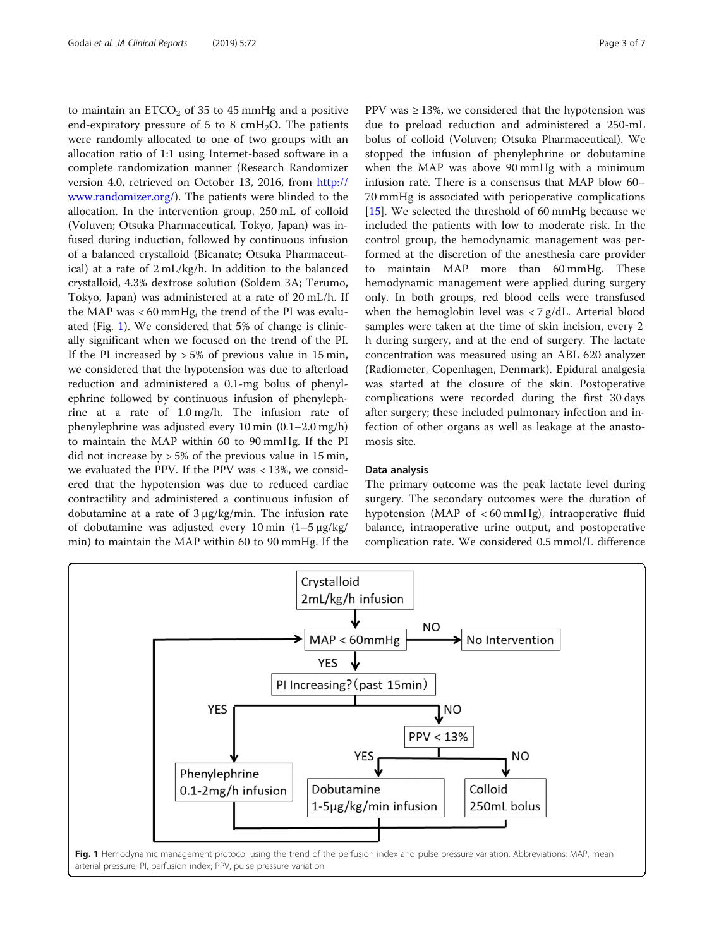to maintain an  $ETCO<sub>2</sub>$  of 35 to 45 mmHg and a positive end-expiratory pressure of 5 to 8 cmH<sub>2</sub>O. The patients were randomly allocated to one of two groups with an allocation ratio of 1:1 using Internet-based software in a complete randomization manner (Research Randomizer version 4.0, retrieved on October 13, 2016, from [http://](http://www.randomizer.org/) [www.randomizer.org/\)](http://www.randomizer.org/). The patients were blinded to the allocation. In the intervention group, 250 mL of colloid (Voluven; Otsuka Pharmaceutical, Tokyo, Japan) was infused during induction, followed by continuous infusion of a balanced crystalloid (Bicanate; Otsuka Pharmaceutical) at a rate of 2 mL/kg/h. In addition to the balanced crystalloid, 4.3% dextrose solution (Soldem 3A; Terumo, Tokyo, Japan) was administered at a rate of 20 mL/h. If the MAP was < 60 mmHg, the trend of the PI was evaluated (Fig. 1). We considered that 5% of change is clinically significant when we focused on the trend of the PI. If the PI increased by  $> 5\%$  of previous value in 15 min, we considered that the hypotension was due to afterload reduction and administered a 0.1-mg bolus of phenylephrine followed by continuous infusion of phenylephrine at a rate of 1.0 mg/h. The infusion rate of phenylephrine was adjusted every 10 min (0.1–2.0 mg/h) to maintain the MAP within 60 to 90 mmHg. If the PI did not increase by > 5% of the previous value in 15 min, we evaluated the PPV. If the PPV was < 13%, we considered that the hypotension was due to reduced cardiac contractility and administered a continuous infusion of dobutamine at a rate of 3 μg/kg/min. The infusion rate of dobutamine was adjusted every 10 min (1–5 μg/kg/ min) to maintain the MAP within 60 to 90 mmHg. If the PPV was  $\geq$  13%, we considered that the hypotension was due to preload reduction and administered a 250-mL bolus of colloid (Voluven; Otsuka Pharmaceutical). We stopped the infusion of phenylephrine or dobutamine when the MAP was above 90 mmHg with a minimum infusion rate. There is a consensus that MAP blow 60– 70 mmHg is associated with perioperative complications [[15\]](#page-6-0). We selected the threshold of 60 mmHg because we included the patients with low to moderate risk. In the control group, the hemodynamic management was performed at the discretion of the anesthesia care provider to maintain MAP more than 60 mmHg. These hemodynamic management were applied during surgery only. In both groups, red blood cells were transfused when the hemoglobin level was  $\langle 7 \text{ g/dL}$ . Arterial blood samples were taken at the time of skin incision, every 2 h during surgery, and at the end of surgery. The lactate concentration was measured using an ABL 620 analyzer (Radiometer, Copenhagen, Denmark). Epidural analgesia was started at the closure of the skin. Postoperative complications were recorded during the first 30 days after surgery; these included pulmonary infection and infection of other organs as well as leakage at the anastomosis site.

#### Data analysis

The primary outcome was the peak lactate level during surgery. The secondary outcomes were the duration of hypotension (MAP of < 60 mmHg), intraoperative fluid balance, intraoperative urine output, and postoperative complication rate. We considered 0.5 mmol/L difference

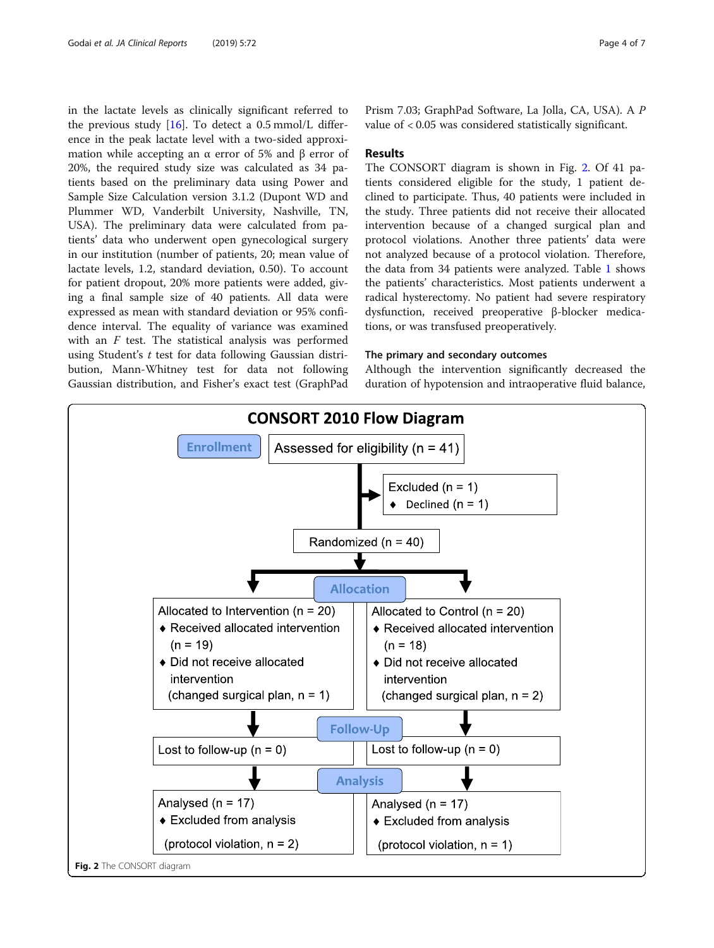in the lactate levels as clinically significant referred to the previous study  $[16]$  $[16]$  $[16]$ . To detect a 0.5 mmol/L difference in the peak lactate level with a two-sided approximation while accepting an α error of 5% and β error of 20%, the required study size was calculated as 34 patients based on the preliminary data using Power and Sample Size Calculation version 3.1.2 (Dupont WD and Plummer WD, Vanderbilt University, Nashville, TN, USA). The preliminary data were calculated from patients' data who underwent open gynecological surgery in our institution (number of patients, 20; mean value of lactate levels, 1.2, standard deviation, 0.50). To account for patient dropout, 20% more patients were added, giving a final sample size of 40 patients. All data were expressed as mean with standard deviation or 95% confidence interval. The equality of variance was examined with an  $F$  test. The statistical analysis was performed using Student's  $t$  test for data following Gaussian distribution, Mann-Whitney test for data not following Gaussian distribution, and Fisher's exact test (GraphPad

Prism 7.03; GraphPad Software, La Jolla, CA, USA). A P value of < 0.05 was considered statistically significant.

## Results

The CONSORT diagram is shown in Fig. 2. Of 41 patients considered eligible for the study, 1 patient declined to participate. Thus, 40 patients were included in the study. Three patients did not receive their allocated intervention because of a changed surgical plan and protocol violations. Another three patients' data were not analyzed because of a protocol violation. Therefore, the data from 34 patients were analyzed. Table [1](#page-4-0) shows the patients' characteristics. Most patients underwent a radical hysterectomy. No patient had severe respiratory dysfunction, received preoperative β-blocker medications, or was transfused preoperatively.

## The primary and secondary outcomes

Although the intervention significantly decreased the duration of hypotension and intraoperative fluid balance,

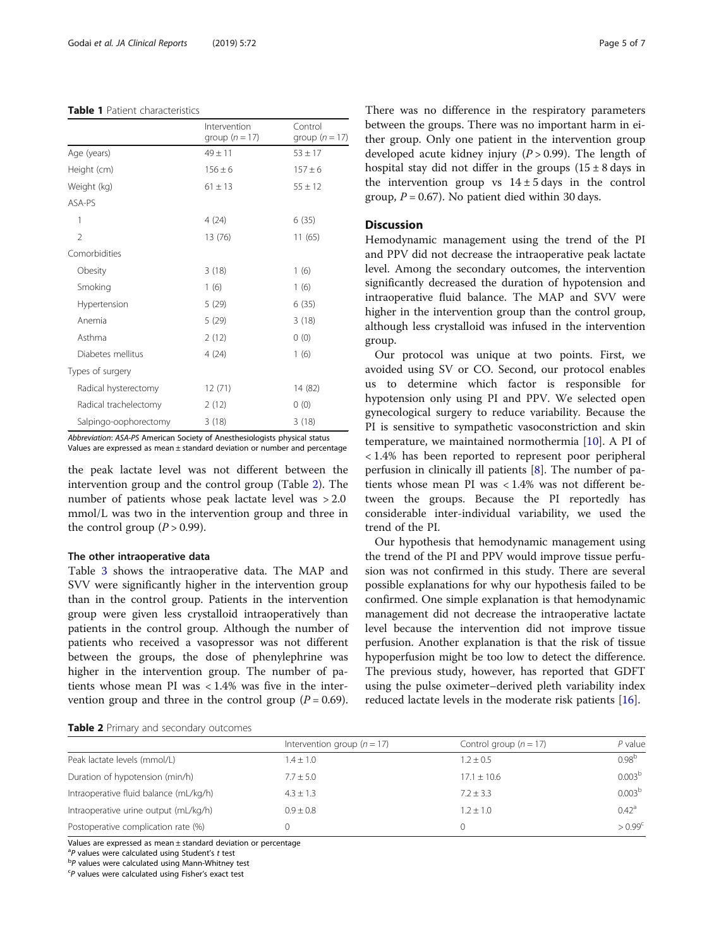#### <span id="page-4-0"></span>Table 1 Patient characteristics

|                       | Intervention<br>group ( $n = 17$ ) | Control<br>group $(n = 17)$ |
|-----------------------|------------------------------------|-----------------------------|
| Age (years)           | $49 \pm 11$                        | $53 \pm 17$                 |
| Height (cm)           | $156 \pm 6$                        | $157 + 6$                   |
| Weight (kg)           | $61 \pm 13$                        | $55 \pm 12$                 |
| ASA-PS                |                                    |                             |
| 1                     | 4(24)                              | 6(35)                       |
| $\overline{2}$        | 13 (76)                            | 11(65)                      |
| Comorbidities         |                                    |                             |
| Obesity               | 3(18)                              | 1(6)                        |
| Smoking               | 1(6)                               | 1(6)                        |
| Hypertension          | 5(29)                              | 6(35)                       |
| Anemia                | 5(29)                              | 3(18)                       |
| Asthma                | 2(12)                              | 0(0)                        |
| Diabetes mellitus     | 4(24)                              | 1(6)                        |
| Types of surgery      |                                    |                             |
| Radical hysterectomy  | 12(71)                             | 14 (82)                     |
| Radical trachelectomy | 2(12)                              | 0(0)                        |
| Salpingo-oophorectomy | 3(18)                              | 3(18)                       |

Abbreviation: ASA-PS American Society of Anesthesiologists physical status Values are expressed as mean ± standard deviation or number and percentage

the peak lactate level was not different between the intervention group and the control group (Table 2). The number of patients whose peak lactate level was > 2.0 mmol/L was two in the intervention group and three in the control group  $(P > 0.99)$ .

#### The other intraoperative data

Table [3](#page-5-0) shows the intraoperative data. The MAP and SVV were significantly higher in the intervention group than in the control group. Patients in the intervention group were given less crystalloid intraoperatively than patients in the control group. Although the number of patients who received a vasopressor was not different between the groups, the dose of phenylephrine was higher in the intervention group. The number of patients whose mean PI was < 1.4% was five in the intervention group and three in the control group  $(P = 0.69)$ .

| Table 2 Primary and secondary outcomes |  |  |  |
|----------------------------------------|--|--|--|
|----------------------------------------|--|--|--|

There was no difference in the respiratory parameters between the groups. There was no important harm in either group. Only one patient in the intervention group developed acute kidney injury  $(P > 0.99)$ . The length of hospital stay did not differ in the groups  $(15 \pm 8 \text{ days in})$ the intervention group vs  $14 \pm 5$  days in the control group,  $P = 0.67$ ). No patient died within 30 days.

## Discussion

Hemodynamic management using the trend of the PI and PPV did not decrease the intraoperative peak lactate level. Among the secondary outcomes, the intervention significantly decreased the duration of hypotension and intraoperative fluid balance. The MAP and SVV were higher in the intervention group than the control group, although less crystalloid was infused in the intervention group.

Our protocol was unique at two points. First, we avoided using SV or CO. Second, our protocol enables us to determine which factor is responsible for hypotension only using PI and PPV. We selected open gynecological surgery to reduce variability. Because the PI is sensitive to sympathetic vasoconstriction and skin temperature, we maintained normothermia [[10](#page-6-0)]. A PI of < 1.4% has been reported to represent poor peripheral perfusion in clinically ill patients [[8\]](#page-6-0). The number of patients whose mean PI was < 1.4% was not different between the groups. Because the PI reportedly has considerable inter-individual variability, we used the trend of the PI.

Our hypothesis that hemodynamic management using the trend of the PI and PPV would improve tissue perfusion was not confirmed in this study. There are several possible explanations for why our hypothesis failed to be confirmed. One simple explanation is that hemodynamic management did not decrease the intraoperative lactate level because the intervention did not improve tissue perfusion. Another explanation is that the risk of tissue hypoperfusion might be too low to detect the difference. The previous study, however, has reported that GDFT using the pulse oximeter–derived pleth variability index reduced lactate levels in the moderate risk patients [\[16\]](#page-6-0).

|                                        | Intervention group ( $n = 17$ ) | Control group $(n = 17)$ | $P$ value          |
|----------------------------------------|---------------------------------|--------------------------|--------------------|
| Peak lactate levels (mmol/L)           | $1.4 \pm 1.0$                   | $1.2 \pm 0.5$            | 0.98 <sup>b</sup>  |
| Duration of hypotension (min/h)        | $7.7 \pm 5.0$                   | $17.1 + 10.6$            | 0.003 <sup>b</sup> |
| Intraoperative fluid balance (mL/kg/h) | $4.3 \pm 1.3$                   | $7.2 + 3.3$              | 0.003 <sup>b</sup> |
| Intraoperative urine output (mL/kg/h)  | $0.9 \pm 0.8$                   | $1.2 + 1.0$              | 0.42 <sup>a</sup>  |
| Postoperative complication rate (%)    | 0                               |                          | $> 0.99^{\circ}$   |

Values are expressed as mean ± standard deviation or percentage

<sup>a</sup> *P* values were calculated using Student's *t* test

 $P$  values were calculated using Mann-Whitney test

P values were calculated using Fisher's exact test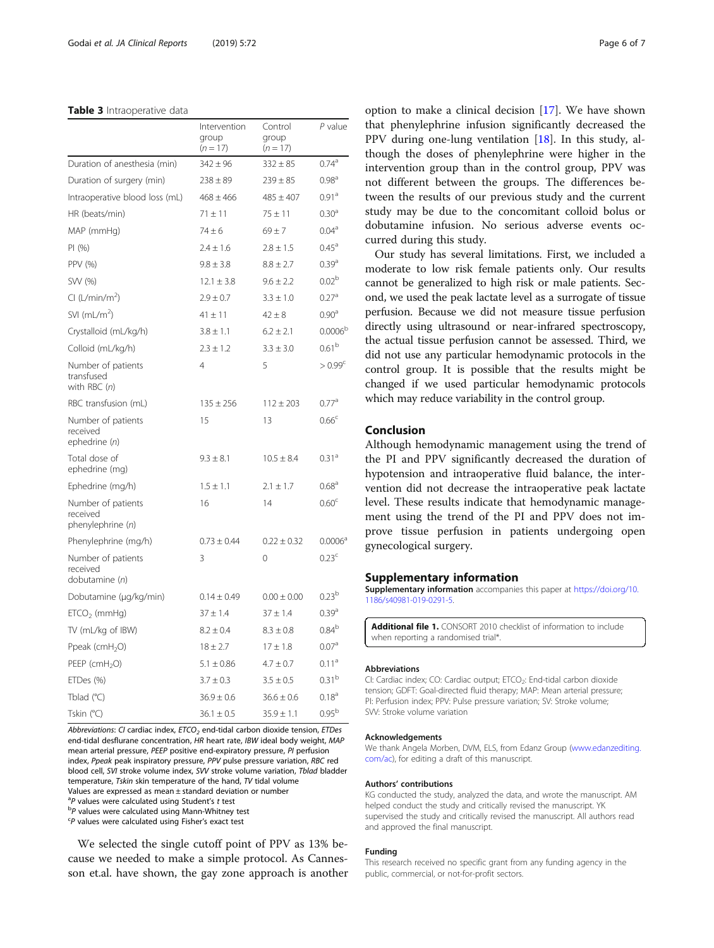#### <span id="page-5-0"></span>Table 3 Intraoperative data

|                                                     | Intervention<br>group<br>$(n = 17)$ | Control<br>group<br>$(n = 17)$ | $P$ value           |
|-----------------------------------------------------|-------------------------------------|--------------------------------|---------------------|
| Duration of anesthesia (min)                        | $342 \pm 96$                        | $332 \pm 85$                   | $0.74^{a}$          |
| Duration of surgery (min)                           | $238 \pm 89$                        | $239 \pm 85$                   | 0.98 <sup>a</sup>   |
| Intraoperative blood loss (mL)                      | $468 \pm 466$                       | $485 \pm 407$                  | 0.91 <sup>a</sup>   |
| HR (beats/min)                                      | $71 \pm 11$                         | $75 \pm 11$                    | 0.30 <sup>a</sup>   |
| MAP (mmHg)                                          | $74 + 6$                            | $69 + 7$                       | $0.04^{\rm a}$      |
| PI(%)                                               | $2.4 \pm 1.6$                       | $2.8 \pm 1.5$                  | $0.45^{\rm a}$      |
| PPV (%)                                             | $9.8 \pm 3.8$                       | $8.8 \pm 2.7$                  | $0.39^{a}$          |
| SW (%)                                              | $12.1 \pm 3.8$                      | $9.6 \pm 2.2$                  | 0.02 <sup>b</sup>   |
| Cl (L/min/m <sup>2</sup> )                          | $2.9 \pm 0.7$                       | $3.3 \pm 1.0$                  | 0.27 <sup>a</sup>   |
| SVI $(mL/m2)$                                       | $41 \pm 11$                         | $42 \pm 8$                     | 0.90 <sup>a</sup>   |
| Crystalloid (mL/kg/h)                               | $3.8 \pm 1.1$                       | $6.2 \pm 2.1$                  | 0.0006 <sup>k</sup> |
| Colloid (mL/kg/h)                                   | $2.3 \pm 1.2$                       | $3.3 \pm 3.0$                  | 0.61 <sup>b</sup>   |
| Number of patients<br>transfused<br>with RBC (n)    | $\overline{4}$                      | 5                              | $> 0.99^{\circ}$    |
| RBC transfusion (mL)                                | $135 \pm 256$                       | $112 \pm 203$                  | 0.77 <sup>a</sup>   |
| Number of patients<br>received<br>ephedrine (n)     | 15                                  | 13                             | 0.66 <sup>c</sup>   |
| Total dose of<br>ephedrine (mg)                     | $9.3 \pm 8.1$                       | $10.5 \pm 8.4$                 | 0.31 <sup>a</sup>   |
| Ephedrine (mg/h)                                    | $1.5 \pm 1.1$                       | $2.1 \pm 1.7$                  | 0.68 <sup>a</sup>   |
| Number of patients<br>received<br>phenylephrine (n) | 16                                  | 14                             | 0.60 <sup>c</sup>   |
| Phenylephrine (mg/h)                                | $0.73 \pm 0.44$                     | $0.22 \pm 0.32$                | 0.0006 <sup>a</sup> |
| Number of patients<br>received<br>dobutamine (n)    | 3                                   | $\mathbf 0$                    | 0.23 <sup>c</sup>   |
| Dobutamine (µg/kg/min)                              | $0.14 \pm 0.49$                     | $0.00 \pm 0.00$                | 0.23 <sup>b</sup>   |
| $ETCO2$ (mmHg)                                      | $37 \pm 1.4$                        | $37 \pm 1.4$                   | $0.39^{a}$          |
| TV (mL/kg of IBW)                                   | $8.2 \pm 0.4$                       | $8.3 \pm 0.8$                  | $0.84^b$            |
| Ppeak (cm $H_2O$ )                                  | $18 \pm 2.7$                        | $17\pm1.8$                     | 0.07 <sup>a</sup>   |
| PEEP ( $cmH2O$ )                                    | $5.1 \pm 0.86$                      | $4.7 \pm 0.7$                  | 0.11 <sup>a</sup>   |
| ETDes (%)                                           | $3.7 \pm 0.3$                       | $3.5 \pm 0.5$                  | 0.31 <sup>b</sup>   |
| Tblad $(°C)$                                        | $36.9 \pm 0.6$                      | $36.6 \pm 0.6$                 | 0.18 <sup>a</sup>   |
| Tskin (°C)                                          | $36.1 \pm 0.5$                      | $35.9 \pm 1.1$                 | 0.95 <sup>b</sup>   |

Abbreviations: CI cardiac index,  $ETCO<sub>2</sub>$  end-tidal carbon dioxide tension,  $ETDes$ end-tidal desflurane concentration, HR heart rate, IBW ideal body weight, MAP mean arterial pressure, PEEP positive end-expiratory pressure, PI perfusion index, Ppeak peak inspiratory pressure, PPV pulse pressure variation, RBC red blood cell, SVI stroke volume index, SVV stroke volume variation, Tblad bladder temperature, Tskin skin temperature of the hand, TV tidal volume Values are expressed as mean ± standard deviation or number

<sup>a</sup> *P* values were calculated using Student's *t* test

 $P$  values were calculated using Mann-Whitney test

P values were calculated using Fisher's exact test

We selected the single cutoff point of PPV as 13% because we needed to make a simple protocol. As Cannesson et.al. have shown, the gay zone approach is another

option to make a clinical decision [\[17\]](#page-6-0). We have shown that phenylephrine infusion significantly decreased the PPV during one-lung ventilation [[18\]](#page-6-0). In this study, although the doses of phenylephrine were higher in the intervention group than in the control group, PPV was not different between the groups. The differences between the results of our previous study and the current study may be due to the concomitant colloid bolus or dobutamine infusion. No serious adverse events occurred during this study.

Our study has several limitations. First, we included a moderate to low risk female patients only. Our results cannot be generalized to high risk or male patients. Second, we used the peak lactate level as a surrogate of tissue perfusion. Because we did not measure tissue perfusion directly using ultrasound or near-infrared spectroscopy, the actual tissue perfusion cannot be assessed. Third, we did not use any particular hemodynamic protocols in the control group. It is possible that the results might be changed if we used particular hemodynamic protocols which may reduce variability in the control group.

## Conclusion

Although hemodynamic management using the trend of the PI and PPV significantly decreased the duration of hypotension and intraoperative fluid balance, the intervention did not decrease the intraoperative peak lactate level. These results indicate that hemodynamic management using the trend of the PI and PPV does not improve tissue perfusion in patients undergoing open gynecological surgery.

#### Supplementary information

Supplementary information accompanies this paper at [https://doi.org/10.](https://doi.org/10.1186/s40981-019-0291-5) [1186/s40981-019-0291-5.](https://doi.org/10.1186/s40981-019-0291-5)

Additional file 1. CONSORT 2010 checklist of information to include when reporting a randomised trial\*

#### Abbreviations

CI: Cardiac index; CO: Cardiac output; ETCO<sub>2</sub>: End-tidal carbon dioxide tension; GDFT: Goal-directed fluid therapy; MAP: Mean arterial pressure; PI: Perfusion index; PPV: Pulse pressure variation; SV: Stroke volume; SVV: Stroke volume variation

#### Acknowledgements

We thank Angela Morben, DVM, ELS, from Edanz Group [\(www.edanzediting.](http://www.edanzediting.com/ac) [com/ac](http://www.edanzediting.com/ac)), for editing a draft of this manuscript.

#### Authors' contributions

KG conducted the study, analyzed the data, and wrote the manuscript. AM helped conduct the study and critically revised the manuscript. YK supervised the study and critically revised the manuscript. All authors read and approved the final manuscript.

#### Funding

This research received no specific grant from any funding agency in the public, commercial, or not-for-profit sectors.